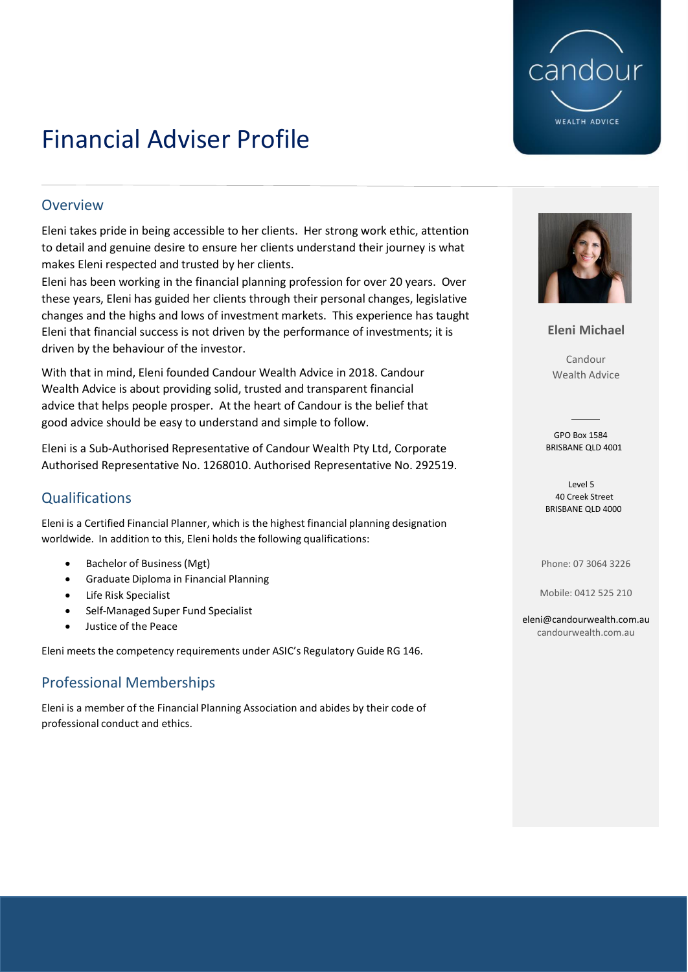

## Financial Adviser Profile

#### **Overview**

Eleni takes pride in being accessible to her clients. Her strong work ethic, attention to detail and genuine desire to ensure her clients understand their journey is what makes Eleni respected and trusted by her clients.

Eleni has been working in the financial planning profession for over 20 years. Over these years, Eleni has guided her clients through their personal changes, legislative changes and the highs and lows of investment markets. This experience has taught Eleni that financial success is not driven by the performance of investments; it is driven by the behaviour of the investor.

With that in mind, Eleni founded Candour Wealth Advice in 2018. Candour Wealth Advice is about providing solid, trusted and transparent financial advice that helps people prosper. At the heart of Candour is the belief that good advice should be easy to understand and simple to follow.

Eleni is a Sub-Authorised Representative of Candour Wealth Pty Ltd, Corporate Authorised Representative No. 1268010. Authorised Representative No. 292519.

## **Qualifications**

Eleni is a Certified Financial Planner, which is the highest financial planning designation worldwide. In addition to this, Eleni holds the following qualifications:

- Bachelor of Business (Mgt)
- Graduate Diploma in Financial Planning
- Life Risk Specialist
- Self-Managed Super Fund Specialist
- Justice of the Peace

Eleni meets the competency requirements under ASIC's Regulatory Guide RG 146.

### Professional Memberships

Eleni is a member of the Financial Planning Association and abides by their code of professional conduct and ethics.



**Eleni Michael**

Candour Wealth Advice

 GPO Box 1584 BRISBANE QLD 4001

 Level 5 40 Creek Street BRISBANE QLD 4000

Phone: 07 3064 3226

Mobile: 0412 525 210

[eleni@candourwealth.com.au](mailto:eleni@candourwealth.com.au) candourwealth.com.au